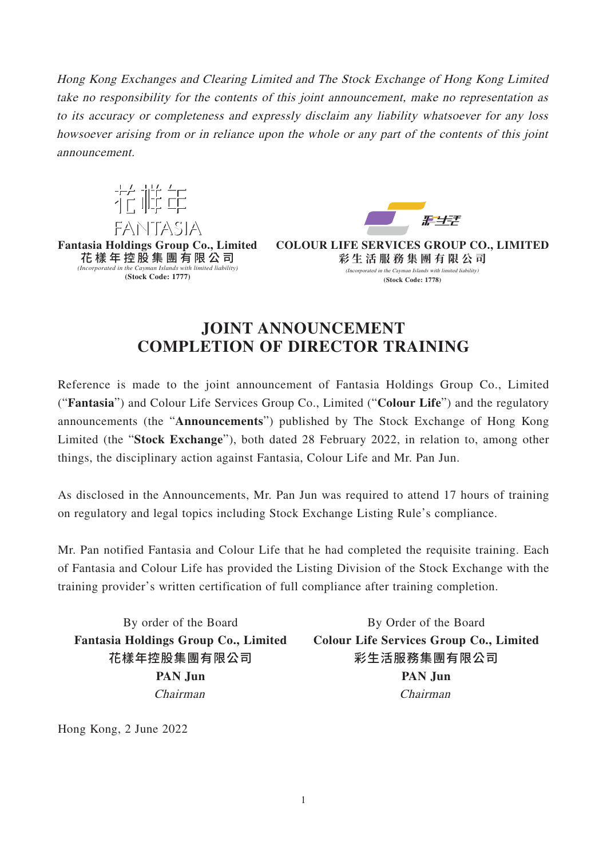Hong Kong Exchanges and Clearing Limited and The Stock Exchange of Hong Kong Limited take no responsibility for the contents of this joint announcement, make no representation as to its accuracy or completeness and expressly disclaim any liability whatsoever for any loss howsoever arising from or in reliance upon the whole or any part of the contents of this joint announcement.





**COLOUR LIFE SERVICES GROUP CO., LIMITED 彩生活服務集團有限公 司** (Incorporated in the Cayman Islands with limited liability) **(Stock Code: 1778)**

## **JOINT ANNOUNCEMENT COMPLETION OF DIRECTOR TRAINING**

Reference is made to the joint announcement of Fantasia Holdings Group Co., Limited ("**Fantasia**") and Colour Life Services Group Co., Limited ("**Colour Life**") and the regulatory announcements (the "**Announcements**") published by The Stock Exchange of Hong Kong Limited (the "**Stock Exchange**"), both dated 28 February 2022, in relation to, among other things, the disciplinary action against Fantasia, Colour Life and Mr. Pan Jun.

As disclosed in the Announcements, Mr. Pan Jun was required to attend 17 hours of training on regulatory and legal topics including Stock Exchange Listing Rule's compliance.

Mr. Pan notified Fantasia and Colour Life that he had completed the requisite training. Each of Fantasia and Colour Life has provided the Listing Division of the Stock Exchange with the training provider's written certification of full compliance after training completion.

By order of the Board **Fantasia Holdings Group Co., Limited** 花樣年控股集團有限公司 **PAN Jun** Chairman

By Order of the Board **Colour Life Services Group Co., Limited** 彩生活服務集團有限公司 **PAN Jun** Chairman

Hong Kong, 2 June 2022